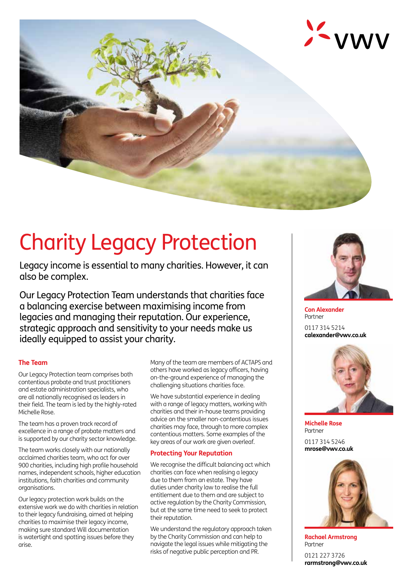

# Charity Legacy Protection

Legacy income is essential to many charities. However, it can also be complex.

Our Legacy Protection Team understands that charities face a balancing exercise between maximising income from legacies and managing their reputation. Our experience, strategic approach and sensitivity to your needs make us ideally equipped to assist your charity.

## **The Team**

Our Legacy Protection team comprises both contentious probate and trust practitioners and estate administration specialists, who are all nationally recognised as leaders in their field. The team is led by the highly-rated Michelle Rose.

The team has a proven track record of excellence in a range of probate matters and is supported by our charity sector knowledge.

The team works closely with our nationally acclaimed charities team, who act for over 900 charities, including high profile household names, independent schools, higher education institutions, faith charities and community organisations.

Our legacy protection work builds on the extensive work we do with charities in relation to their legacy fundraising, aimed at helping charities to maximise their legacy income, making sure standard Will documentation is watertight and spotting issues before they arise.

Many of the team are members of ACTAPS and others have worked as legacy officers, having on-the-ground experience of managing the challenging situations charities face.

We have substantial experience in dealing with a range of legacy matters, working with charities and their in-house teams providing advice on the smaller non-contentious issues charities may face, through to more complex contentious matters. Some examples of the key areas of our work are given overleaf.

## **Protecting Your Reputation**

We recognise the difficult balancing act which charities can face when realising a legacy due to them from an estate. They have duties under charity law to realise the full entitlement due to them and are subject to active regulation by the Charity Commission, but at the same time need to seek to protect their reputation.

We understand the regulatory approach taken by the Charity Commission and can help to navigate the legal issues while mitigating the risks of negative public perception and PR.



**Con Alexander** Partner 0117 314 5214 **calexander@vwv.co.uk**



**Michelle Rose** Partner

0117 314 5246 **mrose@vwv.co.uk**



**Rachael Armstrong** Partner

0121 227 3726 **rarmstrong@vwv.co.uk**